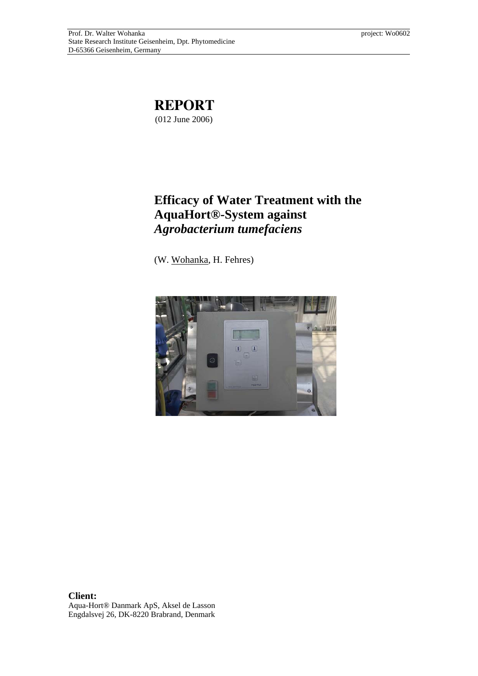

# **Efficacy of Water Treatment with the AquaHort®-System against**  *Agrobacterium tumefaciens*

(W. Wohanka, H. Fehres)



**Client:**  Aqua-Hort® Danmark ApS, Aksel de Lasson Engdalsvej 26, DK-8220 Brabrand, Denmark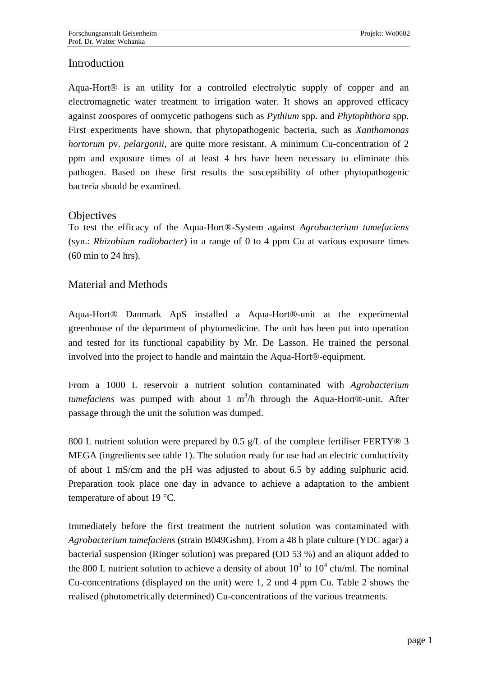## **Introduction**

Aqua-Hort® is an utility for a controlled electrolytic supply of copper and an electromagnetic water treatment to irrigation water. It shows an approved efficacy against zoospores of oomycetic pathogens such as *Pythium* spp. and *Phytophthora* spp. First experiments have shown, that phytopathogenic bacteria, such as *Xanthomonas hortorum* pv. *pelargonii*, are quite more resistant. A minimum Cu-concentration of 2 ppm and exposure times of at least 4 hrs have been necessary to eliminate this pathogen. Based on these first results the susceptibility of other phytopathogenic bacteria should be examined.

### **Objectives**

To test the efficacy of the Aqua-Hort®-System against *Agrobacterium tumefaciens*  (syn.: *Rhizobium radiobacter*) in a range of 0 to 4 ppm Cu at various exposure times (60 min to 24 hrs).

## Material and Methods

Aqua-Hort® Danmark ApS installed a Aqua-Hort®-unit at the experimental greenhouse of the department of phytomedicine. The unit has been put into operation and tested for its functional capability by Mr. De Lasson. He trained the personal involved into the project to handle and maintain the Aqua-Hort®-equipment.

From a 1000 L reservoir a nutrient solution contaminated with *Agrobacterium*   $t$ *umefaciens* was pumped with about 1 m<sup>3</sup>/h through the Aqua-Hort®-unit. After passage through the unit the solution was dumped.

800 L nutrient solution were prepared by 0.5 g/L of the complete fertiliser FERTY $\circledast$  3 MEGA (ingredients see table 1). The solution ready for use had an electric conductivity of about 1 mS/cm and the pH was adjusted to about 6.5 by adding sulphuric acid. Preparation took place one day in advance to achieve a adaptation to the ambient temperature of about 19 °C.

Immediately before the first treatment the nutrient solution was contaminated with *Agrobacterium tumefaciens* (strain B049Gshm). From a 48 h plate culture (YDC agar) a bacterial suspension (Ringer solution) was prepared (OD 53 %) and an aliquot added to the 800 L nutrient solution to achieve a density of about  $10^3$  to  $10^4$  cfu/ml. The nominal Cu-concentrations (displayed on the unit) were 1, 2 und 4 ppm Cu. Table 2 shows the realised (photometrically determined) Cu-concentrations of the various treatments.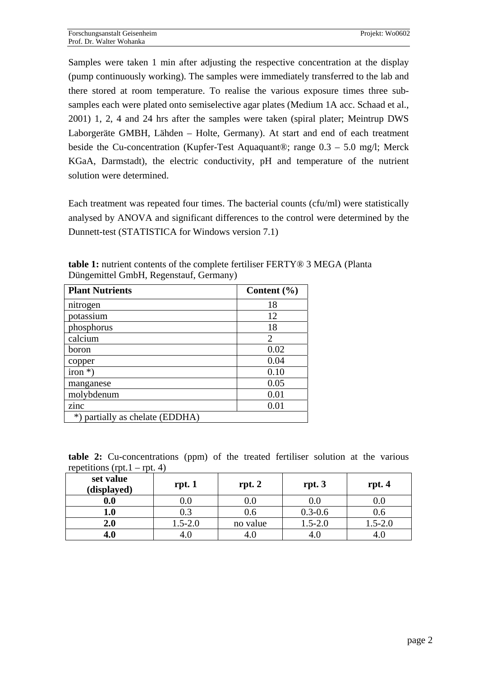Samples were taken 1 min after adjusting the respective concentration at the display (pump continuously working). The samples were immediately transferred to the lab and there stored at room temperature. To realise the various exposure times three subsamples each were plated onto semiselective agar plates (Medium 1A acc. Schaad et al., 2001) 1, 2, 4 and 24 hrs after the samples were taken (spiral plater; Meintrup DWS Laborgeräte GMBH, Lähden – Holte, Germany). At start and end of each treatment beside the Cu-concentration (Kupfer-Test Aquaquant®; range 0.3 – 5.0 mg/l; Merck KGaA, Darmstadt), the electric conductivity, pH and temperature of the nutrient solution were determined.

Each treatment was repeated four times. The bacterial counts (cfu/ml) were statistically analysed by ANOVA and significant differences to the control were determined by the Dunnett-test (STATISTICA for Windows version 7.1)

| <b>Plant Nutrients</b>          | Content $(\% )$ |
|---------------------------------|-----------------|
| nitrogen                        | 18              |
| potassium                       | 12              |
| phosphorus                      | 18              |
| calcium                         | $\overline{2}$  |
| boron                           | 0.02            |
| copper                          | 0.04            |
| $iron *$ )                      | 0.10            |
| manganese                       | 0.05            |
| molybdenum                      | 0.01            |
| zinc                            | 0.01            |
| *) partially as chelate (EDDHA) |                 |

**table 1:** nutrient contents of the complete fertiliser FERTY® 3 MEGA (Planta Düngemittel GmbH, Regenstauf, Germany)

|  | <b>table 2:</b> Cu-concentrations (ppm) of the treated fertiliser solution at the various |  |  |  |  |  |
|--|-------------------------------------------------------------------------------------------|--|--|--|--|--|
|  | repetitions (rpt. $1 - \text{rpt. } 4$ )                                                  |  |  |  |  |  |

| set value<br>(displayed) | rpt.1       | rpt. 2   | rpt.3       | rpt.4            |
|--------------------------|-------------|----------|-------------|------------------|
| 0.0                      | 0.0         | 0.0      | 0.0         | 0.0 <sub>1</sub> |
| 1.0                      | 0.3         | J.6      | $0.3 - 0.6$ | 0.6              |
| 2.0                      | $1.5 - 2.0$ | no value | $1.5 - 2.0$ | $1.5 - 2.0$      |
| 4.0                      |             |          |             |                  |